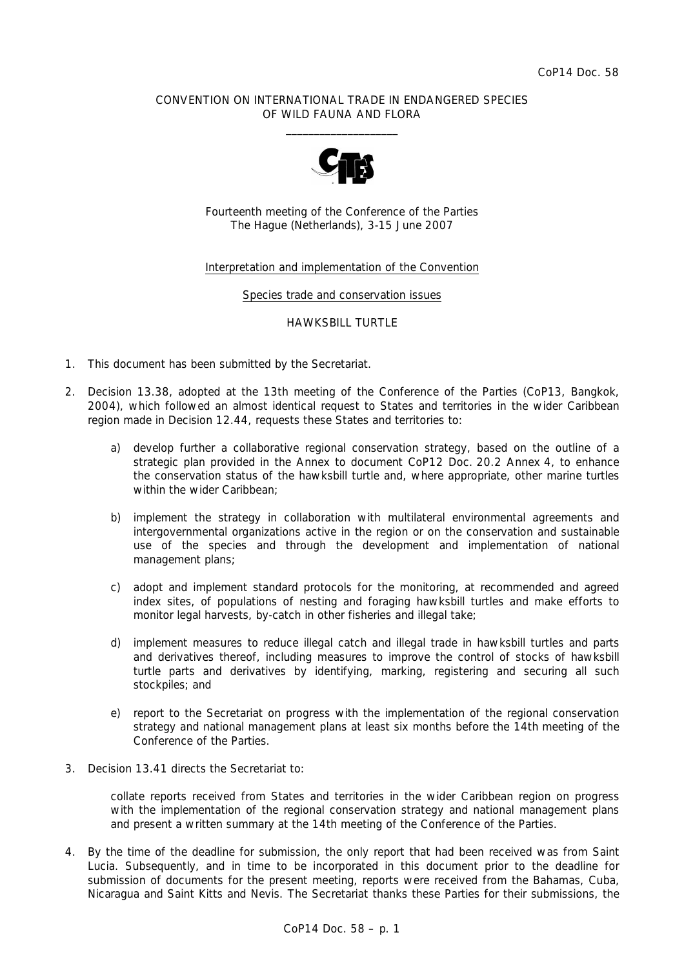## CONVENTION ON INTERNATIONAL TRADE IN ENDANGERED SPECIES OF WILD FAUNA AND FLORA  $\overline{\phantom{a}}$  , and the set of the set of the set of the set of the set of the set of the set of the set of the set of the set of the set of the set of the set of the set of the set of the set of the set of the set of the s



Fourteenth meeting of the Conference of the Parties The Hague (Netherlands), 3-15 June 2007

## Interpretation and implementation of the Convention

### Species trade and conservation issues

#### HAWKSBILL TURTLE

- 1. This document has been submitted by the Secretariat.
- 2. Decision 13.38, adopted at the 13th meeting of the Conference of the Parties (CoP13, Bangkok, 2004), which followed an almost identical request to States and territories in the wider Caribbean region made in Decision 12.44, requests these States and territories to:
	- *a) develop further a collaborative regional conservation strategy, based on the outline of a strategic plan provided in the Annex to document CoP12 Doc. 20.2 Annex 4, to enhance the conservation status of the hawksbill turtle and, where appropriate, other marine turtles within the wider Caribbean;*
	- *b) implement the strategy in collaboration with multilateral environmental agreements and intergovernmental organizations active in the region or on the conservation and sustainable*  use of the species and through the development and implementation of national *management plans;*
	- *c) adopt and implement standard protocols for the monitoring, at recommended and agreed index sites, of populations of nesting and foraging hawksbill turtles and make efforts to monitor legal harvests, by-catch in other fisheries and illegal take;*
	- *d) implement measures to reduce illegal catch and illegal trade in hawksbill turtles and parts and derivatives thereof, including measures to improve the control of stocks of hawksbill turtle parts and derivatives by identifying, marking, registering and securing all such stockpiles; and*
	- *e) report to the Secretariat on progress with the implementation of the regional conservation strategy and national management plans at least six months before the 14th meeting of the Conference of the Parties.*
- 3. Decision 13.41 directs the Secretariat to:

 *collate reports received from States and territories in the wider Caribbean region on progress with the implementation of the regional conservation strategy and national management plans and present a written summary at the 14th meeting of the Conference of the Parties.* 

4. By the time of the deadline for submission, the only report that had been received was from Saint Lucia. Subsequently, and in time to be incorporated in this document prior to the deadline for submission of documents for the present meeting, reports were received from the Bahamas, Cuba, Nicaragua and Saint Kitts and Nevis. The Secretariat thanks these Parties for their submissions, the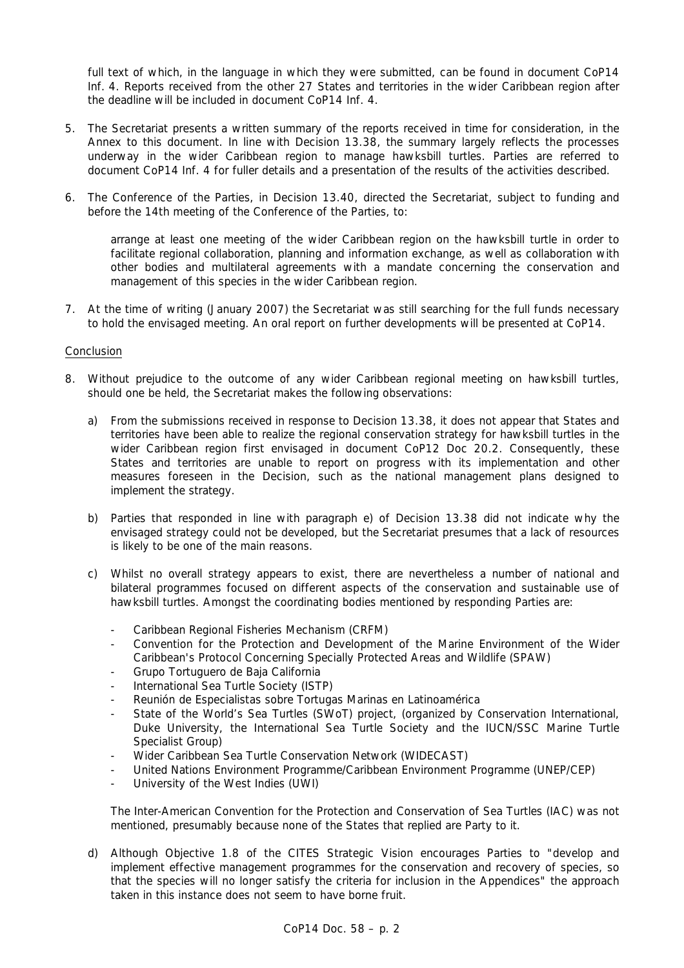full text of which, in the language in which they were submitted, can be found in document CoP14 Inf. 4. Reports received from the other 27 States and territories in the wider Caribbean region after the deadline will be included in document CoP14 Inf. 4.

- 5. The Secretariat presents a written summary of the reports received in time for consideration, in the Annex to this document. In line with Decision 13.38, the summary largely reflects the processes underway in the wider Caribbean region to manage hawksbill turtles. Parties are referred to document CoP14 Inf. 4 for fuller details and a presentation of the results of the activities described.
- 6. The Conference of the Parties, in Decision 13.40, directed the Secretariat, subject to funding and before the 14th meeting of the Conference of the Parties, to:

 *arrange at least one meeting of the wider Caribbean region on the hawksbill turtle in order to facilitate regional collaboration, planning and information exchange, as well as collaboration with other bodies and multilateral agreements with a mandate concerning the conservation and management of this species in the wider Caribbean region.* 

7. At the time of writing (January 2007) the Secretariat was still searching for the full funds necessary to hold the envisaged meeting. An oral report on further developments will be presented at CoP14.

# Conclusion

- 8. Without prejudice to the outcome of any wider Caribbean regional meeting on hawksbill turtles, should one be held, the Secretariat makes the following observations:
	- a) From the submissions received in response to Decision 13.38, it does not appear that States and territories have been able to realize the regional conservation strategy for hawksbill turtles in the wider Caribbean region first envisaged in document CoP12 Doc 20.2. Consequently, these States and territories are unable to report on progress with its implementation and other measures foreseen in the Decision, such as the national management plans designed to implement the strategy.
	- b) Parties that responded in line with paragraph e) of Decision 13.38 did not indicate why the envisaged strategy could not be developed, but the Secretariat presumes that a lack of resources is likely to be one of the main reasons.
	- c) Whilst no overall strategy appears to exist, there are nevertheless a number of national and bilateral programmes focused on different aspects of the conservation and sustainable use of hawksbill turtles. Amongst the coordinating bodies mentioned by responding Parties are:
		- Caribbean Regional Fisheries Mechanism (CRFM)
		- Convention for the Protection and Development of the Marine Environment of the Wider Caribbean's Protocol Concerning Specially Protected Areas and Wildlife (SPAW)
		- Grupo Tortuguero de Baja California
		- International Sea Turtle Society (ISTP)
		- Reunión de Especialistas sobre Tortugas Marinas en Latinoamérica
		- State of the World's Sea Turtles (SWoT) project, (organized by Conservation International, Duke University, the International Sea Turtle Society and the IUCN/SSC Marine Turtle Specialist Group)
		- Wider Caribbean Sea Turtle Conservation Network (WIDECAST)
		- United Nations Environment Programme/Caribbean Environment Programme (UNEP/CEP)
		- University of the West Indies (UWI)

 The Inter-American Convention for the Protection and Conservation of Sea Turtles (IAC) was not mentioned, presumably because none of the States that replied are Party to it.

 d) Although Objective 1.8 of the CITES Strategic Vision encourages Parties to "develop and implement effective management programmes for the conservation and recovery of species, so that the species will no longer satisfy the criteria for inclusion in the Appendices" the approach taken in this instance does not seem to have borne fruit.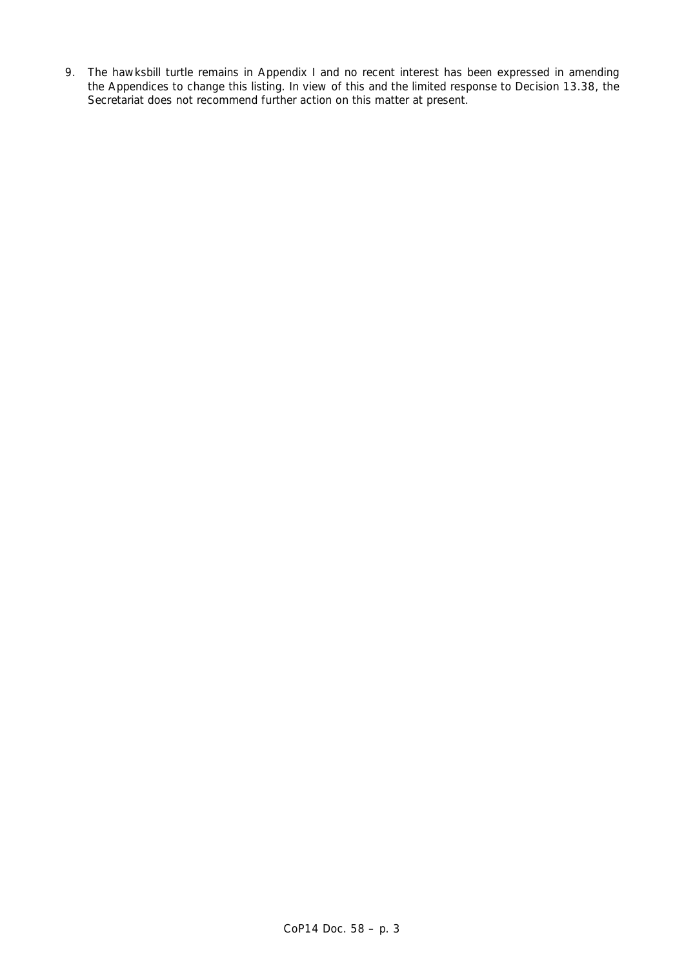9. The hawksbill turtle remains in Appendix I and no recent interest has been expressed in amending the Appendices to change this listing. In view of this and the limited response to Decision 13.38, the Secretariat does not recommend further action on this matter at present.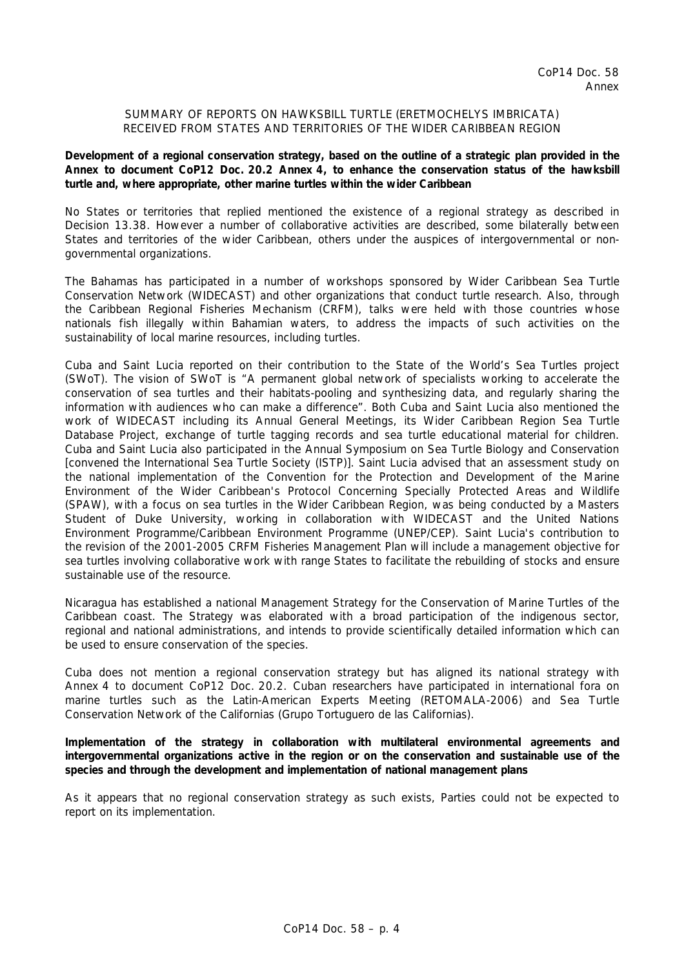## SUMMARY OF REPORTS ON HAWKSBILL TURTLE (*ERETMOCHELYS IMBRICATA*) RECEIVED FROM STATES AND TERRITORIES OF THE WIDER CARIBBEAN REGION

**Development of a regional conservation strategy, based on the outline of a strategic plan provided in the Annex to document CoP12 Doc. 20.2 Annex 4, to enhance the conservation status of the hawksbill turtle and, where appropriate, other marine turtles within the wider Caribbean** 

No States or territories that replied mentioned the existence of a regional strategy as described in Decision 13.38. However a number of collaborative activities are described, some bilaterally between States and territories of the wider Caribbean, others under the auspices of intergovernmental or nongovernmental organizations.

The Bahamas has participated in a number of workshops sponsored by Wider Caribbean Sea Turtle Conservation Network (WIDECAST) and other organizations that conduct turtle research. Also, through the Caribbean Regional Fisheries Mechanism (CRFM), talks were held with those countries whose nationals fish illegally within Bahamian waters, to address the impacts of such activities on the sustainability of local marine resources, including turtles.

Cuba and Saint Lucia reported on their contribution to the State of the World's Sea Turtles project (SWoT). The vision of SWoT is "A permanent global network of specialists working to accelerate the conservation of sea turtles and their habitats-pooling and synthesizing data, and regularly sharing the information with audiences who can make a difference". Both Cuba and Saint Lucia also mentioned the work of WIDECAST including its Annual General Meetings, its Wider Caribbean Region Sea Turtle Database Project, exchange of turtle tagging records and sea turtle educational material for children. Cuba and Saint Lucia also participated in the Annual Symposium on Sea Turtle Biology and Conservation [convened the International Sea Turtle Society (ISTP)]. Saint Lucia advised that an assessment study on the national implementation of the Convention for the Protection and Development of the Marine Environment of the Wider Caribbean's Protocol Concerning Specially Protected Areas and Wildlife (SPAW), with a focus on sea turtles in the Wider Caribbean Region, was being conducted by a Masters Student of Duke University, working in collaboration with WIDECAST and the United Nations Environment Programme/Caribbean Environment Programme (UNEP/CEP). Saint Lucia's contribution to the revision of the 2001-2005 CRFM Fisheries Management Plan will include a management objective for sea turtles involving collaborative work with range States to facilitate the rebuilding of stocks and ensure sustainable use of the resource.

Nicaragua has established a national Management Strategy for the Conservation of Marine Turtles of the Caribbean coast. The Strategy was elaborated with a broad participation of the indigenous sector, regional and national administrations, and intends to provide scientifically detailed information which can be used to ensure conservation of the species.

Cuba does not mention a regional conservation strategy but has aligned its national strategy with Annex 4 to document CoP12 Doc. 20.2. Cuban researchers have participated in international fora on marine turtles such as the Latin-American Experts Meeting (RETOMALA-2006) and Sea Turtle Conservation Network of the Californias (Grupo Tortuguero de las Californias).

**Implementation of the strategy in collaboration with multilateral environmental agreements and intergovernmental organizations active in the region or on the conservation and sustainable use of the species and through the development and implementation of national management plans** 

As it appears that no regional conservation strategy as such exists, Parties could not be expected to report on its implementation.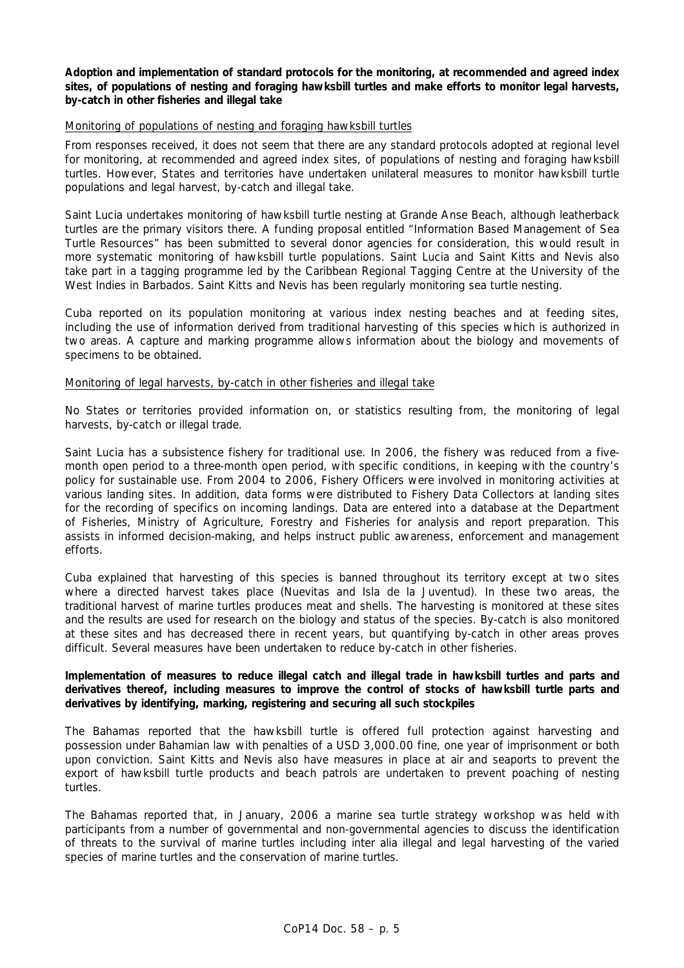**Adoption and implementation of standard protocols for the monitoring, at recommended and agreed index sites, of populations of nesting and foraging hawksbill turtles and make efforts to monitor legal harvests, by-catch in other fisheries and illegal take**

### Monitoring of populations of nesting and foraging hawksbill turtles

From responses received, it does not seem that there are any standard protocols adopted at regional level for monitoring, at recommended and agreed index sites, of populations of nesting and foraging hawksbill turtles. However, States and territories have undertaken unilateral measures to monitor hawksbill turtle populations and legal harvest, by-catch and illegal take.

Saint Lucia undertakes monitoring of hawksbill turtle nesting at Grande Anse Beach, although leatherback turtles are the primary visitors there. A funding proposal entitled "Information Based Management of Sea Turtle Resources" has been submitted to several donor agencies for consideration, this would result in more systematic monitoring of hawksbill turtle populations. Saint Lucia and Saint Kitts and Nevis also take part in a tagging programme led by the Caribbean Regional Tagging Centre at the University of the West Indies in Barbados. Saint Kitts and Nevis has been regularly monitoring sea turtle nesting.

Cuba reported on its population monitoring at various index nesting beaches and at feeding sites, including the use of information derived from traditional harvesting of this species which is authorized in two areas. A capture and marking programme allows information about the biology and movements of specimens to be obtained.

## Monitoring of legal harvests, by-catch in other fisheries and illegal take

No States or territories provided information on, or statistics resulting from, the monitoring of legal harvests, by-catch or illegal trade.

Saint Lucia has a subsistence fishery for traditional use. In 2006, the fishery was reduced from a fivemonth open period to a three-month open period, with specific conditions, in keeping with the country's policy for sustainable use. From 2004 to 2006, Fishery Officers were involved in monitoring activities at various landing sites. In addition, data forms were distributed to Fishery Data Collectors at landing sites for the recording of specifics on incoming landings. Data are entered into a database at the Department of Fisheries, Ministry of Agriculture, Forestry and Fisheries for analysis and report preparation. This assists in informed decision-making, and helps instruct public awareness, enforcement and management efforts.

Cuba explained that harvesting of this species is banned throughout its territory except at two sites where a directed harvest takes place (Nuevitas and Isla de la Juventud). In these two areas, the traditional harvest of marine turtles produces meat and shells. The harvesting is monitored at these sites and the results are used for research on the biology and status of the species. By-catch is also monitored at these sites and has decreased there in recent years, but quantifying by-catch in other areas proves difficult. Several measures have been undertaken to reduce by-catch in other fisheries.

## **Implementation of measures to reduce illegal catch and illegal trade in hawksbill turtles and parts and derivatives thereof, including measures to improve the control of stocks of hawksbill turtle parts and derivatives by identifying, marking, registering and securing all such stockpiles**

The Bahamas reported that the hawksbill turtle is offered full protection against harvesting and possession under Bahamian law with penalties of a USD 3,000.00 fine, one year of imprisonment or both upon conviction. Saint Kitts and Nevis also have measures in place at air and seaports to prevent the export of hawksbill turtle products and beach patrols are undertaken to prevent poaching of nesting turtles.

The Bahamas reported that, in January, 2006 a marine sea turtle strategy workshop was held with participants from a number of governmental and non-governmental agencies to discuss the identification of threats to the survival of marine turtles including *inter alia* illegal and legal harvesting of the varied species of marine turtles and the conservation of marine turtles.